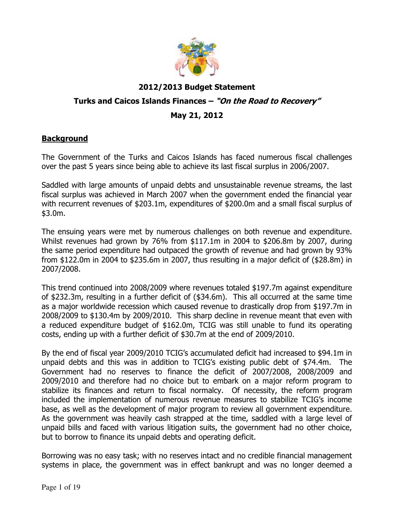

# 2012/2013 Budget Statement Turks and Caicos Islands Finances - "On the Road to Recovery" May 21, 2012

### **Background**

The Government of the Turks and Caicos Islands has faced numerous fiscal challenges over the past 5 years since being able to achieve its last fiscal surplus in 2006/2007.

Saddled with large amounts of unpaid debts and unsustainable revenue streams, the last fiscal surplus was achieved in March 2007 when the government ended the financial year with recurrent revenues of \$203.1m, expenditures of \$200.0m and a small fiscal surplus of \$3.0m.

The ensuing years were met by numerous challenges on both revenue and expenditure. Whilst revenues had grown by 76% from \$117.1m in 2004 to \$206.8m by 2007, during the same period expenditure had outpaced the growth of revenue and had grown by 93% from \$122.0m in 2004 to \$235.6m in 2007, thus resulting in a major deficit of (\$28.8m) in 2007/2008.

This trend continued into 2008/2009 where revenues totaled \$197.7m against expenditure of \$232.3m, resulting in a further deficit of (\$34.6m). This all occurred at the same time as a major worldwide recession which caused revenue to drastically drop from \$197.7m in 2008/2009 to \$130.4m by 2009/2010. This sharp decline in revenue meant that even with a reduced expenditure budget of \$162.0m, TCIG was still unable to fund its operating costs, ending up with a further deficit of \$30.7m at the end of 2009/2010.

By the end of fiscal year 2009/2010 TCIG's accumulated deficit had increased to \$94.1m in unpaid debts and this was in addition to TCIG's existing public debt of \$74.4m. The Government had no reserves to finance the deficit of 2007/2008, 2008/2009 and 2009/2010 and therefore had no choice but to embark on a major reform program to stabilize its finances and return to fiscal normalcy. Of necessity, the reform program included the implementation of numerous revenue measures to stabilize TCIG's income base, as well as the development of major program to review all government expenditure. As the government was heavily cash strapped at the time, saddled with a large level of unpaid bills and faced with various litigation suits, the government had no other choice, but to borrow to finance its unpaid debts and operating deficit.

Borrowing was no easy task; with no reserves intact and no credible financial management systems in place, the government was in effect bankrupt and was no longer deemed a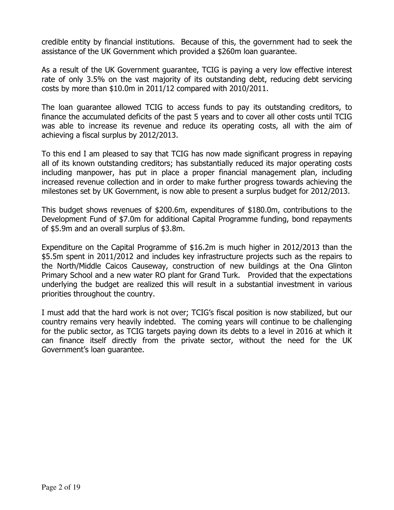credible entity by financial institutions. Because of this, the government had to seek the assistance of the UK Government which provided a \$260m loan guarantee.

As a result of the UK Government guarantee, TCIG is paying a very low effective interest rate of only 3.5% on the vast majority of its outstanding debt, reducing debt servicing costs by more than \$10.0m in 2011/12 compared with 2010/2011.

The loan guarantee allowed TCIG to access funds to pay its outstanding creditors, to finance the accumulated deficits of the past 5 years and to cover all other costs until TCIG was able to increase its revenue and reduce its operating costs, all with the aim of achieving a fiscal surplus by 2012/2013.

To this end I am pleased to say that TCIG has now made significant progress in repaying all of its known outstanding creditors; has substantially reduced its major operating costs including manpower, has put in place a proper financial management plan, including increased revenue collection and in order to make further progress towards achieving the milestones set by UK Government, is now able to present a surplus budget for 2012/2013.

This budget shows revenues of \$200.6m, expenditures of \$180.0m, contributions to the Development Fund of \$7.0m for additional Capital Programme funding, bond repayments of \$5.9m and an overall surplus of \$3.8m.

Expenditure on the Capital Programme of \$16.2m is much higher in 2012/2013 than the \$5.5m spent in 2011/2012 and includes key infrastructure projects such as the repairs to the North/Middle Caicos Causeway, construction of new buildings at the Ona Glinton Primary School and a new water RO plant for Grand Turk. Provided that the expectations underlying the budget are realized this will result in a substantial investment in various priorities throughout the country.

I must add that the hard work is not over; TCIG's fiscal position is now stabilized, but our country remains very heavily indebted. The coming years will continue to be challenging for the public sector, as TCIG targets paying down its debts to a level in 2016 at which it can finance itself directly from the private sector, without the need for the UK Government's loan guarantee.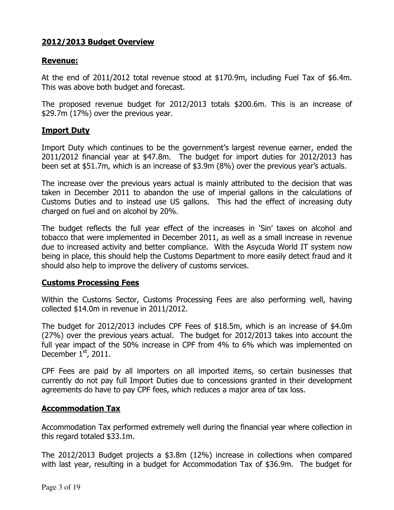# 2012/2013 Budget Overview

#### Revenue:

At the end of 2011/2012 total revenue stood at \$170.9m, including Fuel Tax of \$6.4m. This was above both budget and forecast.

The proposed revenue budget for 2012/2013 totals \$200.6m. This is an increase of \$29.7m (17%) over the previous year.

### Import Duty

Import Duty which continues to be the government's largest revenue earner, ended the 2011/2012 financial year at \$47.8m. The budget for import duties for 2012/2013 has been set at \$51.7m, which is an increase of \$3.9m (8%) over the previous year's actuals.

The increase over the previous years actual is mainly attributed to the decision that was taken in December 2011 to abandon the use of imperial gallons in the calculations of Customs Duties and to instead use US gallons. This had the effect of increasing duty charged on fuel and on alcohol by 20%.

The budget reflects the full year effect of the increases in 'Sin' taxes on alcohol and tobacco that were implemented in December 2011, as well as a small increase in revenue due to increased activity and better compliance. With the Asycuda World IT system now being in place, this should help the Customs Department to more easily detect fraud and it should also help to improve the delivery of customs services.

### Customs Processing Fees

Within the Customs Sector, Customs Processing Fees are also performing well, having collected \$14.0m in revenue in 2011/2012.

The budget for 2012/2013 includes CPF Fees of \$18.5m, which is an increase of \$4.0m (27%) over the previous years actual. The budget for 2012/2013 takes into account the full year impact of the 50% increase in CPF from 4% to 6% which was implemented on December  $1<sup>st</sup>$ , 2011.

CPF Fees are paid by all importers on all imported items, so certain businesses that currently do not pay full Import Duties due to concessions granted in their development agreements do have to pay CPF fees, which reduces a major area of tax loss.

#### Accommodation Tax

Accommodation Tax performed extremely well during the financial year where collection in this regard totaled \$33.1m.

The 2012/2013 Budget projects a \$3.8m (12%) increase in collections when compared with last year, resulting in a budget for Accommodation Tax of \$36.9m. The budget for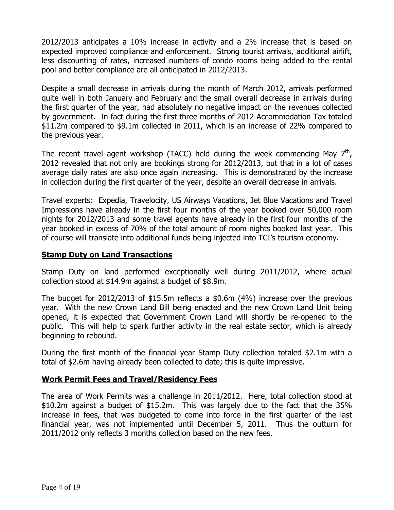2012/2013 anticipates a 10% increase in activity and a 2% increase that is based on expected improved compliance and enforcement. Strong tourist arrivals, additional airlift, less discounting of rates, increased numbers of condo rooms being added to the rental pool and better compliance are all anticipated in 2012/2013.

Despite a small decrease in arrivals during the month of March 2012, arrivals performed quite well in both January and February and the small overall decrease in arrivals during the first quarter of the year, had absolutely no negative impact on the revenues collected by government. In fact during the first three months of 2012 Accommodation Tax totaled \$11.2m compared to \$9.1m collected in 2011, which is an increase of 22% compared to the previous year.

The recent travel agent workshop (TACC) held during the week commencing May  $7<sup>th</sup>$ , 2012 revealed that not only are bookings strong for 2012/2013, but that in a lot of cases average daily rates are also once again increasing. This is demonstrated by the increase in collection during the first quarter of the year, despite an overall decrease in arrivals.

Travel experts: Expedia, Travelocity, US Airways Vacations, Jet Blue Vacations and Travel Impressions have already in the first four months of the year booked over 50,000 room nights for 2012/2013 and some travel agents have already in the first four months of the year booked in excess of 70% of the total amount of room nights booked last year. This of course will translate into additional funds being injected into TCI's tourism economy.

### **Stamp Duty on Land Transactions**

Stamp Duty on land performed exceptionally well during 2011/2012, where actual collection stood at \$14.9m against a budget of \$8.9m.

The budget for 2012/2013 of \$15.5m reflects a \$0.6m (4%) increase over the previous year. With the new Crown Land Bill being enacted and the new Crown Land Unit being opened, it is expected that Government Crown Land will shortly be re-opened to the public. This will help to spark further activity in the real estate sector, which is already beginning to rebound.

During the first month of the financial year Stamp Duty collection totaled \$2.1m with a total of \$2.6m having already been collected to date; this is quite impressive.

### Work Permit Fees and Travel/Residency Fees

The area of Work Permits was a challenge in 2011/2012. Here, total collection stood at \$10.2m against a budget of \$15.2m. This was largely due to the fact that the 35% increase in fees, that was budgeted to come into force in the first quarter of the last financial year, was not implemented until December 5, 2011. Thus the outturn for 2011/2012 only reflects 3 months collection based on the new fees.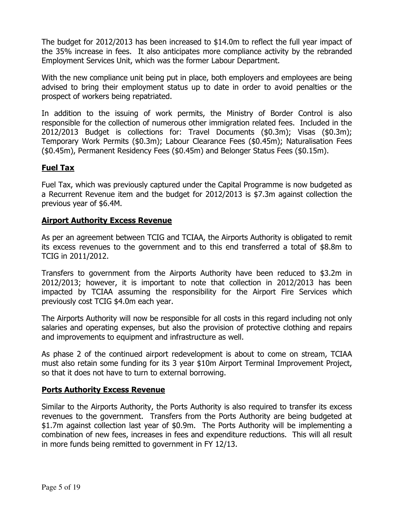The budget for 2012/2013 has been increased to \$14.0m to reflect the full year impact of the 35% increase in fees. It also anticipates more compliance activity by the rebranded Employment Services Unit, which was the former Labour Department.

With the new compliance unit being put in place, both employers and employees are being advised to bring their employment status up to date in order to avoid penalties or the prospect of workers being repatriated.

In addition to the issuing of work permits, the Ministry of Border Control is also responsible for the collection of numerous other immigration related fees. Included in the 2012/2013 Budget is collections for: Travel Documents (\$0.3m); Visas (\$0.3m); Temporary Work Permits (\$0.3m); Labour Clearance Fees (\$0.45m); Naturalisation Fees (\$0.45m), Permanent Residency Fees (\$0.45m) and Belonger Status Fees (\$0.15m).

# Fuel Tax

Fuel Tax, which was previously captured under the Capital Programme is now budgeted as a Recurrent Revenue item and the budget for 2012/2013 is \$7.3m against collection the previous year of \$6.4M.

# Airport Authority Excess Revenue

As per an agreement between TCIG and TCIAA, the Airports Authority is obligated to remit its excess revenues to the government and to this end transferred a total of \$8.8m to TCIG in 2011/2012.

Transfers to government from the Airports Authority have been reduced to \$3.2m in 2012/2013; however, it is important to note that collection in 2012/2013 has been impacted by TCIAA assuming the responsibility for the Airport Fire Services which previously cost TCIG \$4.0m each year.

The Airports Authority will now be responsible for all costs in this regard including not only salaries and operating expenses, but also the provision of protective clothing and repairs and improvements to equipment and infrastructure as well.

As phase 2 of the continued airport redevelopment is about to come on stream, TCIAA must also retain some funding for its 3 year \$10m Airport Terminal Improvement Project, so that it does not have to turn to external borrowing.

### Ports Authority Excess Revenue

Similar to the Airports Authority, the Ports Authority is also required to transfer its excess revenues to the government. Transfers from the Ports Authority are being budgeted at \$1.7m against collection last year of \$0.9m. The Ports Authority will be implementing a combination of new fees, increases in fees and expenditure reductions. This will all result in more funds being remitted to government in FY 12/13.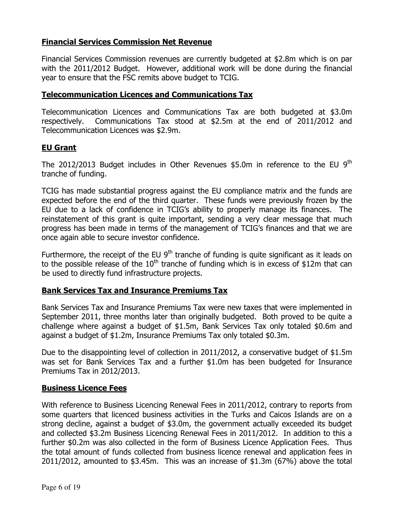# Financial Services Commission Net Revenue

Financial Services Commission revenues are currently budgeted at \$2.8m which is on par with the 2011/2012 Budget. However, additional work will be done during the financial year to ensure that the FSC remits above budget to TCIG.

### Telecommunication Licences and Communications Tax

Telecommunication Licences and Communications Tax are both budgeted at \$3.0m respectively. Communications Tax stood at \$2.5m at the end of 2011/2012 and Telecommunication Licences was \$2.9m.

#### EU Grant

The 2012/2013 Budget includes in Other Revenues  $$5.0m$  in reference to the EU 9<sup>th</sup> tranche of funding.

TCIG has made substantial progress against the EU compliance matrix and the funds are expected before the end of the third quarter. These funds were previously frozen by the EU due to a lack of confidence in TCIG's ability to properly manage its finances. The reinstatement of this grant is quite important, sending a very clear message that much progress has been made in terms of the management of TCIG's finances and that we are once again able to secure investor confidence.

Furthermore, the receipt of the EU  $9<sup>th</sup>$  tranche of funding is quite significant as it leads on to the possible release of the  $10<sup>th</sup>$  tranche of funding which is in excess of \$12m that can be used to directly fund infrastructure projects.

#### Bank Services Tax and Insurance Premiums Tax

Bank Services Tax and Insurance Premiums Tax were new taxes that were implemented in September 2011, three months later than originally budgeted. Both proved to be quite a challenge where against a budget of \$1.5m, Bank Services Tax only totaled \$0.6m and against a budget of \$1.2m, Insurance Premiums Tax only totaled \$0.3m.

Due to the disappointing level of collection in 2011/2012, a conservative budget of \$1.5m was set for Bank Services Tax and a further \$1.0m has been budgeted for Insurance Premiums Tax in 2012/2013.

#### Business Licence Fees

With reference to Business Licencing Renewal Fees in 2011/2012, contrary to reports from some quarters that licenced business activities in the Turks and Caicos Islands are on a strong decline, against a budget of \$3.0m, the government actually exceeded its budget and collected \$3.2m Business Licencing Renewal Fees in 2011/2012. In addition to this a further \$0.2m was also collected in the form of Business Licence Application Fees. Thus the total amount of funds collected from business licence renewal and application fees in 2011/2012, amounted to \$3.45m. This was an increase of \$1.3m (67%) above the total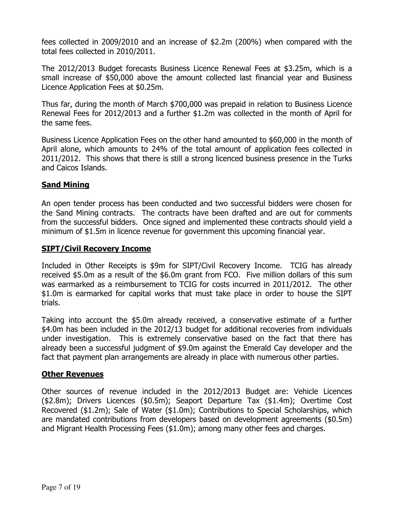fees collected in 2009/2010 and an increase of \$2.2m (200%) when compared with the total fees collected in 2010/2011.

The 2012/2013 Budget forecasts Business Licence Renewal Fees at \$3.25m, which is a small increase of \$50,000 above the amount collected last financial year and Business Licence Application Fees at \$0.25m.

Thus far, during the month of March \$700,000 was prepaid in relation to Business Licence Renewal Fees for 2012/2013 and a further \$1.2m was collected in the month of April for the same fees.

Business Licence Application Fees on the other hand amounted to \$60,000 in the month of April alone, which amounts to 24% of the total amount of application fees collected in 2011/2012. This shows that there is still a strong licenced business presence in the Turks and Caicos Islands.

### Sand Mining

An open tender process has been conducted and two successful bidders were chosen for the Sand Mining contracts. The contracts have been drafted and are out for comments from the successful bidders. Once signed and implemented these contracts should yield a minimum of \$1.5m in licence revenue for government this upcoming financial year.

#### SIPT/Civil Recovery Income

Included in Other Receipts is \$9m for SIPT/Civil Recovery Income. TCIG has already received \$5.0m as a result of the \$6.0m grant from FCO. Five million dollars of this sum was earmarked as a reimbursement to TCIG for costs incurred in 2011/2012. The other \$1.0m is earmarked for capital works that must take place in order to house the SIPT trials.

Taking into account the \$5.0m already received, a conservative estimate of a further \$4.0m has been included in the 2012/13 budget for additional recoveries from individuals under investigation. This is extremely conservative based on the fact that there has already been a successful judgment of \$9.0m against the Emerald Cay developer and the fact that payment plan arrangements are already in place with numerous other parties.

### Other Revenues

Other sources of revenue included in the 2012/2013 Budget are: Vehicle Licences (\$2.8m); Drivers Licences (\$0.5m); Seaport Departure Tax (\$1.4m); Overtime Cost Recovered (\$1.2m); Sale of Water (\$1.0m); Contributions to Special Scholarships, which are mandated contributions from developers based on development agreements (\$0.5m) and Migrant Health Processing Fees (\$1.0m); among many other fees and charges.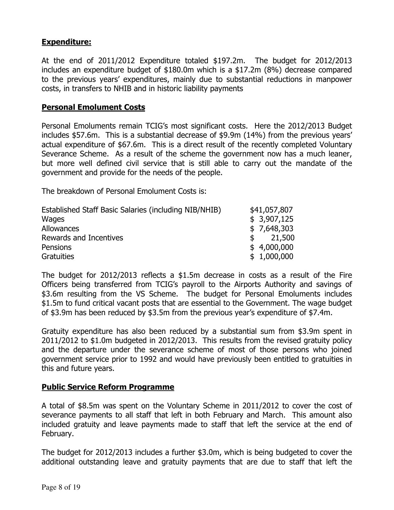# Expenditure:

At the end of 2011/2012 Expenditure totaled \$197.2m. The budget for 2012/2013 includes an expenditure budget of \$180.0m which is a \$17.2m (8%) decrease compared to the previous years' expenditures, mainly due to substantial reductions in manpower costs, in transfers to NHIB and in historic liability payments

#### Personal Emolument Costs

Personal Emoluments remain TCIG's most significant costs. Here the 2012/2013 Budget includes \$57.6m. This is a substantial decrease of \$9.9m (14%) from the previous years' actual expenditure of \$67.6m. This is a direct result of the recently completed Voluntary Severance Scheme. As a result of the scheme the government now has a much leaner, but more well defined civil service that is still able to carry out the mandate of the government and provide for the needs of the people.

The breakdown of Personal Emolument Costs is:

| Established Staff Basic Salaries (including NIB/NHIB) | \$41,057,807            |
|-------------------------------------------------------|-------------------------|
| Wages                                                 | \$3,907,125             |
| Allowances                                            | \$7,648,303             |
| Rewards and Incentives                                | 21,500<br>$\mathcal{S}$ |
| Pensions                                              | \$4,000,000             |
| Gratuities                                            | \$1,000,000             |

The budget for 2012/2013 reflects a \$1.5m decrease in costs as a result of the Fire Officers being transferred from TCIG's payroll to the Airports Authority and savings of \$3.6m resulting from the VS Scheme. The budget for Personal Emoluments includes \$1.5m to fund critical vacant posts that are essential to the Government. The wage budget of \$3.9m has been reduced by \$3.5m from the previous year's expenditure of \$7.4m.

Gratuity expenditure has also been reduced by a substantial sum from \$3.9m spent in 2011/2012 to \$1.0m budgeted in 2012/2013. This results from the revised gratuity policy and the departure under the severance scheme of most of those persons who joined government service prior to 1992 and would have previously been entitled to gratuities in this and future years.

#### Public Service Reform Programme

A total of \$8.5m was spent on the Voluntary Scheme in 2011/2012 to cover the cost of severance payments to all staff that left in both February and March. This amount also included gratuity and leave payments made to staff that left the service at the end of February.

The budget for 2012/2013 includes a further \$3.0m, which is being budgeted to cover the additional outstanding leave and gratuity payments that are due to staff that left the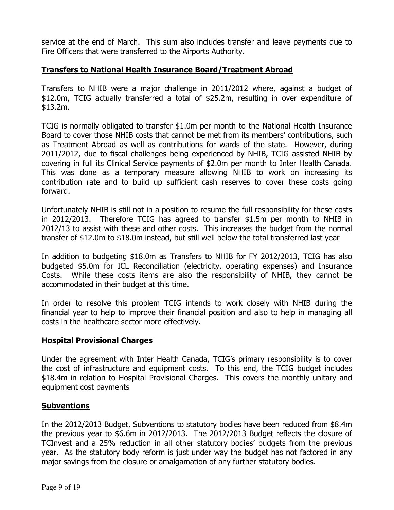service at the end of March. This sum also includes transfer and leave payments due to Fire Officers that were transferred to the Airports Authority.

### Transfers to National Health Insurance Board/Treatment Abroad

Transfers to NHIB were a major challenge in 2011/2012 where, against a budget of \$12.0m, TCIG actually transferred a total of \$25.2m, resulting in over expenditure of \$13.2m.

TCIG is normally obligated to transfer \$1.0m per month to the National Health Insurance Board to cover those NHIB costs that cannot be met from its members' contributions, such as Treatment Abroad as well as contributions for wards of the state. However, during 2011/2012, due to fiscal challenges being experienced by NHIB, TCIG assisted NHIB by covering in full its Clinical Service payments of \$2.0m per month to Inter Health Canada. This was done as a temporary measure allowing NHIB to work on increasing its contribution rate and to build up sufficient cash reserves to cover these costs going forward.

Unfortunately NHIB is still not in a position to resume the full responsibility for these costs in 2012/2013. Therefore TCIG has agreed to transfer \$1.5m per month to NHIB in 2012/13 to assist with these and other costs. This increases the budget from the normal transfer of \$12.0m to \$18.0m instead, but still well below the total transferred last year

In addition to budgeting \$18.0m as Transfers to NHIB for FY 2012/2013, TCIG has also budgeted \$5.0m for ICL Reconciliation (electricity, operating expenses) and Insurance Costs. While these costs items are also the responsibility of NHIB, they cannot be accommodated in their budget at this time.

In order to resolve this problem TCIG intends to work closely with NHIB during the financial year to help to improve their financial position and also to help in managing all costs in the healthcare sector more effectively.

#### Hospital Provisional Charges

Under the agreement with Inter Health Canada, TCIG's primary responsibility is to cover the cost of infrastructure and equipment costs. To this end, the TCIG budget includes \$18.4m in relation to Hospital Provisional Charges. This covers the monthly unitary and equipment cost payments

#### **Subventions**

In the 2012/2013 Budget, Subventions to statutory bodies have been reduced from \$8.4m the previous year to \$6.6m in 2012/2013. The 2012/2013 Budget reflects the closure of TCInvest and a 25% reduction in all other statutory bodies' budgets from the previous year. As the statutory body reform is just under way the budget has not factored in any major savings from the closure or amalgamation of any further statutory bodies.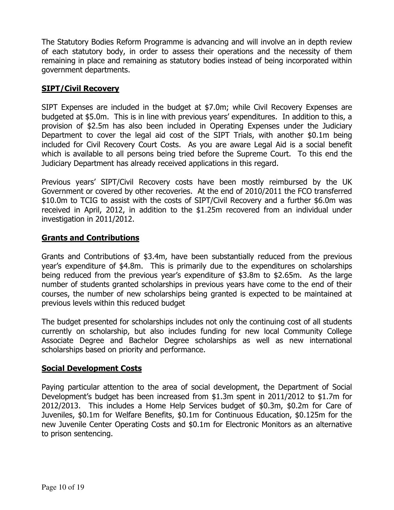The Statutory Bodies Reform Programme is advancing and will involve an in depth review of each statutory body, in order to assess their operations and the necessity of them remaining in place and remaining as statutory bodies instead of being incorporated within government departments.

# SIPT/Civil Recovery

SIPT Expenses are included in the budget at \$7.0m; while Civil Recovery Expenses are budgeted at \$5.0m. This is in line with previous years' expenditures. In addition to this, a provision of \$2.5m has also been included in Operating Expenses under the Judiciary Department to cover the legal aid cost of the SIPT Trials, with another \$0.1m being included for Civil Recovery Court Costs. As you are aware Legal Aid is a social benefit which is available to all persons being tried before the Supreme Court. To this end the Judiciary Department has already received applications in this regard.

Previous years' SIPT/Civil Recovery costs have been mostly reimbursed by the UK Government or covered by other recoveries. At the end of 2010/2011 the FCO transferred \$10.0m to TCIG to assist with the costs of SIPT/Civil Recovery and a further \$6.0m was received in April, 2012, in addition to the \$1.25m recovered from an individual under investigation in 2011/2012.

### Grants and Contributions

Grants and Contributions of \$3.4m, have been substantially reduced from the previous year's expenditure of \$4.8m. This is primarily due to the expenditures on scholarships being reduced from the previous year's expenditure of \$3.8m to \$2.65m. As the large number of students granted scholarships in previous years have come to the end of their courses, the number of new scholarships being granted is expected to be maintained at previous levels within this reduced budget

The budget presented for scholarships includes not only the continuing cost of all students currently on scholarship, but also includes funding for new local Community College Associate Degree and Bachelor Degree scholarships as well as new international scholarships based on priority and performance.

# Social Development Costs

Paying particular attention to the area of social development, the Department of Social Development's budget has been increased from \$1.3m spent in 2011/2012 to \$1.7m for 2012/2013. This includes a Home Help Services budget of \$0.3m, \$0.2m for Care of Juveniles, \$0.1m for Welfare Benefits, \$0.1m for Continuous Education, \$0.125m for the new Juvenile Center Operating Costs and \$0.1m for Electronic Monitors as an alternative to prison sentencing.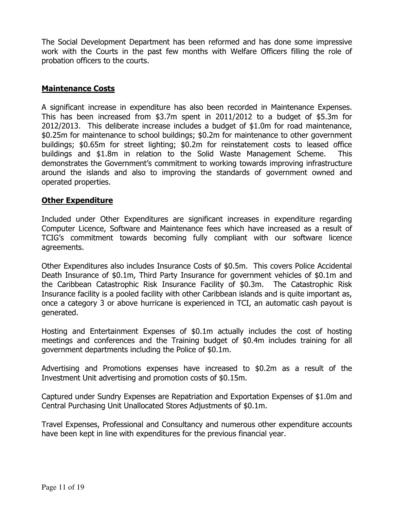The Social Development Department has been reformed and has done some impressive work with the Courts in the past few months with Welfare Officers filling the role of probation officers to the courts.

#### Maintenance Costs

A significant increase in expenditure has also been recorded in Maintenance Expenses. This has been increased from \$3.7m spent in 2011/2012 to a budget of \$5.3m for 2012/2013. This deliberate increase includes a budget of \$1.0m for road maintenance, \$0.25m for maintenance to school buildings; \$0.2m for maintenance to other government buildings; \$0.65m for street lighting; \$0.2m for reinstatement costs to leased office buildings and \$1.8m in relation to the Solid Waste Management Scheme. This demonstrates the Government's commitment to working towards improving infrastructure around the islands and also to improving the standards of government owned and operated properties.

#### Other Expenditure

Included under Other Expenditures are significant increases in expenditure regarding Computer Licence, Software and Maintenance fees which have increased as a result of TCIG's commitment towards becoming fully compliant with our software licence agreements.

Other Expenditures also includes Insurance Costs of \$0.5m. This covers Police Accidental Death Insurance of \$0.1m, Third Party Insurance for government vehicles of \$0.1m and the Caribbean Catastrophic Risk Insurance Facility of \$0.3m. The Catastrophic Risk Insurance facility is a pooled facility with other Caribbean islands and is quite important as, once a category 3 or above hurricane is experienced in TCI, an automatic cash payout is generated.

Hosting and Entertainment Expenses of \$0.1m actually includes the cost of hosting meetings and conferences and the Training budget of \$0.4m includes training for all government departments including the Police of \$0.1m.

Advertising and Promotions expenses have increased to \$0.2m as a result of the Investment Unit advertising and promotion costs of \$0.15m.

Captured under Sundry Expenses are Repatriation and Exportation Expenses of \$1.0m and Central Purchasing Unit Unallocated Stores Adjustments of \$0.1m.

Travel Expenses, Professional and Consultancy and numerous other expenditure accounts have been kept in line with expenditures for the previous financial year.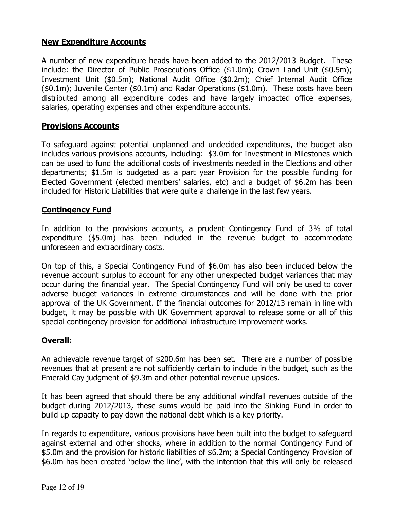## New Expenditure Accounts

A number of new expenditure heads have been added to the 2012/2013 Budget. These include: the Director of Public Prosecutions Office (\$1.0m); Crown Land Unit (\$0.5m); Investment Unit (\$0.5m); National Audit Office (\$0.2m); Chief Internal Audit Office (\$0.1m); Juvenile Center (\$0.1m) and Radar Operations (\$1.0m). These costs have been distributed among all expenditure codes and have largely impacted office expenses, salaries, operating expenses and other expenditure accounts.

### Provisions Accounts

To safeguard against potential unplanned and undecided expenditures, the budget also includes various provisions accounts, including: \$3.0m for Investment in Milestones which can be used to fund the additional costs of investments needed in the Elections and other departments; \$1.5m is budgeted as a part year Provision for the possible funding for Elected Government (elected members' salaries, etc) and a budget of \$6.2m has been included for Historic Liabilities that were quite a challenge in the last few years.

### Contingency Fund

In addition to the provisions accounts, a prudent Contingency Fund of 3% of total expenditure (\$5.0m) has been included in the revenue budget to accommodate unforeseen and extraordinary costs.

On top of this, a Special Contingency Fund of \$6.0m has also been included below the revenue account surplus to account for any other unexpected budget variances that may occur during the financial year. The Special Contingency Fund will only be used to cover adverse budget variances in extreme circumstances and will be done with the prior approval of the UK Government. If the financial outcomes for 2012/13 remain in line with budget, it may be possible with UK Government approval to release some or all of this special contingency provision for additional infrastructure improvement works.

#### Overall:

An achievable revenue target of \$200.6m has been set. There are a number of possible revenues that at present are not sufficiently certain to include in the budget, such as the Emerald Cay judgment of \$9.3m and other potential revenue upsides.

It has been agreed that should there be any additional windfall revenues outside of the budget during 2012/2013, these sums would be paid into the Sinking Fund in order to build up capacity to pay down the national debt which is a key priority.

In regards to expenditure, various provisions have been built into the budget to safeguard against external and other shocks, where in addition to the normal Contingency Fund of \$5.0m and the provision for historic liabilities of \$6.2m; a Special Contingency Provision of \$6.0m has been created 'below the line', with the intention that this will only be released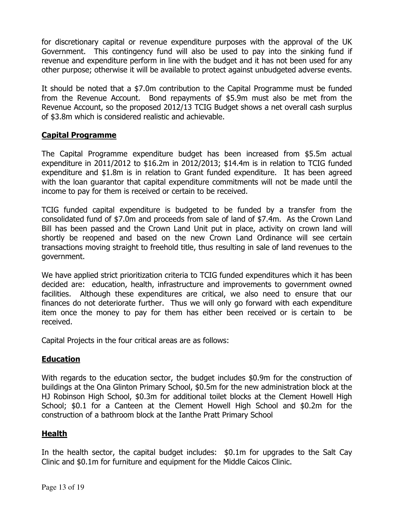for discretionary capital or revenue expenditure purposes with the approval of the UK Government. This contingency fund will also be used to pay into the sinking fund if revenue and expenditure perform in line with the budget and it has not been used for any other purpose; otherwise it will be available to protect against unbudgeted adverse events.

It should be noted that a \$7.0m contribution to the Capital Programme must be funded from the Revenue Account. Bond repayments of \$5.9m must also be met from the Revenue Account, so the proposed 2012/13 TCIG Budget shows a net overall cash surplus of \$3.8m which is considered realistic and achievable.

# Capital Programme

The Capital Programme expenditure budget has been increased from \$5.5m actual expenditure in 2011/2012 to \$16.2m in 2012/2013; \$14.4m is in relation to TCIG funded expenditure and \$1.8m is in relation to Grant funded expenditure. It has been agreed with the loan guarantor that capital expenditure commitments will not be made until the income to pay for them is received or certain to be received.

TCIG funded capital expenditure is budgeted to be funded by a transfer from the consolidated fund of \$7.0m and proceeds from sale of land of \$7.4m. As the Crown Land Bill has been passed and the Crown Land Unit put in place, activity on crown land will shortly be reopened and based on the new Crown Land Ordinance will see certain transactions moving straight to freehold title, thus resulting in sale of land revenues to the government.

We have applied strict prioritization criteria to TCIG funded expenditures which it has been decided are: education, health, infrastructure and improvements to government owned facilities. Although these expenditures are critical, we also need to ensure that our finances do not deteriorate further. Thus we will only go forward with each expenditure item once the money to pay for them has either been received or is certain to be received.

Capital Projects in the four critical areas are as follows:

# Education

With regards to the education sector, the budget includes \$0.9m for the construction of buildings at the Ona Glinton Primary School, \$0.5m for the new administration block at the HJ Robinson High School, \$0.3m for additional toilet blocks at the Clement Howell High School; \$0.1 for a Canteen at the Clement Howell High School and \$0.2m for the construction of a bathroom block at the Ianthe Pratt Primary School

# Health

In the health sector, the capital budget includes: \$0.1m for upgrades to the Salt Cay Clinic and \$0.1m for furniture and equipment for the Middle Caicos Clinic.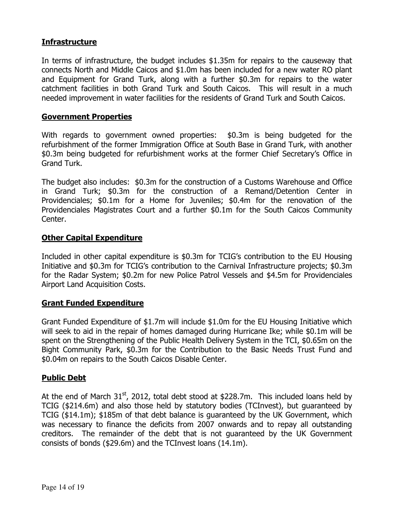### Infrastructure

In terms of infrastructure, the budget includes \$1.35m for repairs to the causeway that connects North and Middle Caicos and \$1.0m has been included for a new water RO plant and Equipment for Grand Turk, along with a further \$0.3m for repairs to the water catchment facilities in both Grand Turk and South Caicos. This will result in a much needed improvement in water facilities for the residents of Grand Turk and South Caicos.

#### Government Properties

With regards to government owned properties: \$0.3m is being budgeted for the refurbishment of the former Immigration Office at South Base in Grand Turk, with another \$0.3m being budgeted for refurbishment works at the former Chief Secretary's Office in Grand Turk.

The budget also includes: \$0.3m for the construction of a Customs Warehouse and Office in Grand Turk; \$0.3m for the construction of a Remand/Detention Center in Providenciales; \$0.1m for a Home for Juveniles; \$0.4m for the renovation of the Providenciales Magistrates Court and a further \$0.1m for the South Caicos Community Center.

#### **Other Capital Expenditure**

Included in other capital expenditure is \$0.3m for TCIG's contribution to the EU Housing Initiative and \$0.3m for TCIG's contribution to the Carnival Infrastructure projects; \$0.3m for the Radar System; \$0.2m for new Police Patrol Vessels and \$4.5m for Providenciales Airport Land Acquisition Costs.

#### Grant Funded Expenditure

Grant Funded Expenditure of \$1.7m will include \$1.0m for the EU Housing Initiative which will seek to aid in the repair of homes damaged during Hurricane Ike; while \$0.1m will be spent on the Strengthening of the Public Health Delivery System in the TCI, \$0.65m on the Bight Community Park, \$0.3m for the Contribution to the Basic Needs Trust Fund and \$0.04m on repairs to the South Caicos Disable Center.

#### Public Debt

At the end of March  $31^{st}$ , 2012, total debt stood at \$228.7m. This included loans held by TCIG (\$214.6m) and also those held by statutory bodies (TCInvest), but guaranteed by TCIG (\$14.1m); \$185m of that debt balance is guaranteed by the UK Government, which was necessary to finance the deficits from 2007 onwards and to repay all outstanding creditors. The remainder of the debt that is not guaranteed by the UK Government consists of bonds (\$29.6m) and the TCInvest loans (14.1m).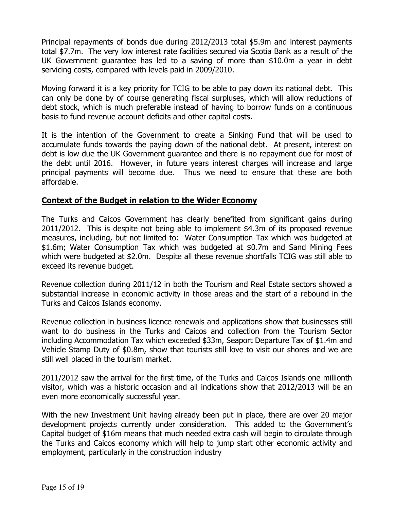Principal repayments of bonds due during 2012/2013 total \$5.9m and interest payments total \$7.7m. The very low interest rate facilities secured via Scotia Bank as a result of the UK Government guarantee has led to a saving of more than \$10.0m a year in debt servicing costs, compared with levels paid in 2009/2010.

Moving forward it is a key priority for TCIG to be able to pay down its national debt. This can only be done by of course generating fiscal surpluses, which will allow reductions of debt stock, which is much preferable instead of having to borrow funds on a continuous basis to fund revenue account deficits and other capital costs.

It is the intention of the Government to create a Sinking Fund that will be used to accumulate funds towards the paying down of the national debt. At present, interest on debt is low due the UK Government guarantee and there is no repayment due for most of the debt until 2016. However, in future years interest charges will increase and large principal payments will become due. Thus we need to ensure that these are both affordable.

#### Context of the Budget in relation to the Wider Economy

The Turks and Caicos Government has clearly benefited from significant gains during 2011/2012. This is despite not being able to implement \$4.3m of its proposed revenue measures, including, but not limited to: Water Consumption Tax which was budgeted at \$1.6m; Water Consumption Tax which was budgeted at \$0.7m and Sand Mining Fees which were budgeted at \$2.0m. Despite all these revenue shortfalls TCIG was still able to exceed its revenue budget.

Revenue collection during 2011/12 in both the Tourism and Real Estate sectors showed a substantial increase in economic activity in those areas and the start of a rebound in the Turks and Caicos Islands economy.

Revenue collection in business licence renewals and applications show that businesses still want to do business in the Turks and Caicos and collection from the Tourism Sector including Accommodation Tax which exceeded \$33m, Seaport Departure Tax of \$1.4m and Vehicle Stamp Duty of \$0.8m, show that tourists still love to visit our shores and we are still well placed in the tourism market.

2011/2012 saw the arrival for the first time, of the Turks and Caicos Islands one millionth visitor, which was a historic occasion and all indications show that 2012/2013 will be an even more economically successful year.

With the new Investment Unit having already been put in place, there are over 20 major development projects currently under consideration. This added to the Government's Capital budget of \$16m means that much needed extra cash will begin to circulate through the Turks and Caicos economy which will help to jump start other economic activity and employment, particularly in the construction industry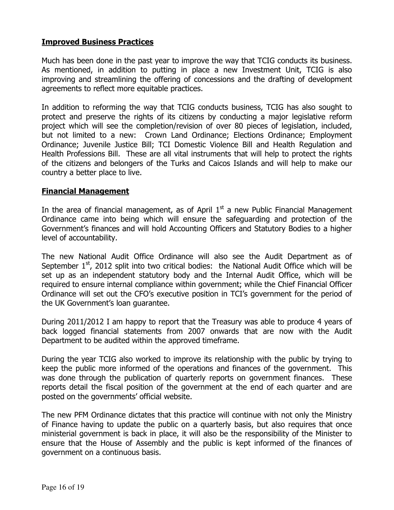## Improved Business Practices

Much has been done in the past year to improve the way that TCIG conducts its business. As mentioned, in addition to putting in place a new Investment Unit, TCIG is also improving and streamlining the offering of concessions and the drafting of development agreements to reflect more equitable practices.

In addition to reforming the way that TCIG conducts business, TCIG has also sought to protect and preserve the rights of its citizens by conducting a major legislative reform project which will see the completion/revision of over 80 pieces of legislation, included, but not limited to a new: Crown Land Ordinance; Elections Ordinance; Employment Ordinance; Juvenile Justice Bill; TCI Domestic Violence Bill and Health Regulation and Health Professions Bill. These are all vital instruments that will help to protect the rights of the citizens and belongers of the Turks and Caicos Islands and will help to make our country a better place to live.

#### Financial Management

In the area of financial management, as of April  $1<sup>st</sup>$  a new Public Financial Management Ordinance came into being which will ensure the safeguarding and protection of the Government's finances and will hold Accounting Officers and Statutory Bodies to a higher level of accountability.

The new National Audit Office Ordinance will also see the Audit Department as of September  $1<sup>st</sup>$ , 2012 split into two critical bodies: the National Audit Office which will be set up as an independent statutory body and the Internal Audit Office, which will be required to ensure internal compliance within government; while the Chief Financial Officer Ordinance will set out the CFO's executive position in TCI's government for the period of the UK Government's loan guarantee.

During 2011/2012 I am happy to report that the Treasury was able to produce 4 years of back logged financial statements from 2007 onwards that are now with the Audit Department to be audited within the approved timeframe.

During the year TCIG also worked to improve its relationship with the public by trying to keep the public more informed of the operations and finances of the government. This was done through the publication of quarterly reports on government finances. These reports detail the fiscal position of the government at the end of each quarter and are posted on the governments' official website.

The new PFM Ordinance dictates that this practice will continue with not only the Ministry of Finance having to update the public on a quarterly basis, but also requires that once ministerial government is back in place, it will also be the responsibility of the Minister to ensure that the House of Assembly and the public is kept informed of the finances of government on a continuous basis.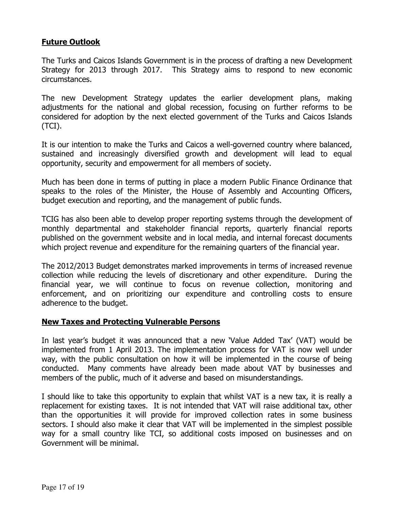# Future Outlook

The Turks and Caicos Islands Government is in the process of drafting a new Development Strategy for 2013 through 2017. This Strategy aims to respond to new economic circumstances.

The new Development Strategy updates the earlier development plans, making adjustments for the national and global recession, focusing on further reforms to be considered for adoption by the next elected government of the Turks and Caicos Islands (TCI).

It is our intention to make the Turks and Caicos a well-governed country where balanced, sustained and increasingly diversified growth and development will lead to equal opportunity, security and empowerment for all members of society.

Much has been done in terms of putting in place a modern Public Finance Ordinance that speaks to the roles of the Minister, the House of Assembly and Accounting Officers, budget execution and reporting, and the management of public funds.

TCIG has also been able to develop proper reporting systems through the development of monthly departmental and stakeholder financial reports, quarterly financial reports published on the government website and in local media, and internal forecast documents which project revenue and expenditure for the remaining quarters of the financial year.

The 2012/2013 Budget demonstrates marked improvements in terms of increased revenue collection while reducing the levels of discretionary and other expenditure. During the financial year, we will continue to focus on revenue collection, monitoring and enforcement, and on prioritizing our expenditure and controlling costs to ensure adherence to the budget.

#### New Taxes and Protecting Vulnerable Persons

In last year's budget it was announced that a new 'Value Added Tax' (VAT) would be implemented from 1 April 2013. The implementation process for VAT is now well under way, with the public consultation on how it will be implemented in the course of being conducted. Many comments have already been made about VAT by businesses and members of the public, much of it adverse and based on misunderstandings.

I should like to take this opportunity to explain that whilst VAT is a new tax, it is really a replacement for existing taxes. It is not intended that VAT will raise additional tax, other than the opportunities it will provide for improved collection rates in some business sectors. I should also make it clear that VAT will be implemented in the simplest possible way for a small country like TCI, so additional costs imposed on businesses and on Government will be minimal.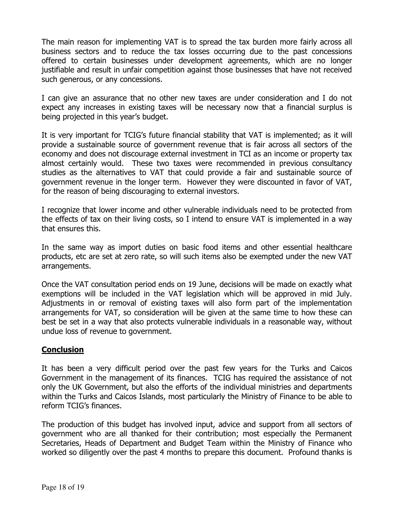The main reason for implementing VAT is to spread the tax burden more fairly across all business sectors and to reduce the tax losses occurring due to the past concessions offered to certain businesses under development agreements, which are no longer justifiable and result in unfair competition against those businesses that have not received such generous, or any concessions.

I can give an assurance that no other new taxes are under consideration and I do not expect any increases in existing taxes will be necessary now that a financial surplus is being projected in this year's budget.

It is very important for TCIG's future financial stability that VAT is implemented; as it will provide a sustainable source of government revenue that is fair across all sectors of the economy and does not discourage external investment in TCI as an income or property tax almost certainly would. These two taxes were recommended in previous consultancy studies as the alternatives to VAT that could provide a fair and sustainable source of government revenue in the longer term. However they were discounted in favor of VAT, for the reason of being discouraging to external investors.

I recognize that lower income and other vulnerable individuals need to be protected from the effects of tax on their living costs, so I intend to ensure VAT is implemented in a way that ensures this.

In the same way as import duties on basic food items and other essential healthcare products, etc are set at zero rate, so will such items also be exempted under the new VAT arrangements.

Once the VAT consultation period ends on 19 June, decisions will be made on exactly what exemptions will be included in the VAT legislation which will be approved in mid July. Adjustments in or removal of existing taxes will also form part of the implementation arrangements for VAT, so consideration will be given at the same time to how these can best be set in a way that also protects vulnerable individuals in a reasonable way, without undue loss of revenue to government.

### **Conclusion**

It has been a very difficult period over the past few years for the Turks and Caicos Government in the management of its finances. TCIG has required the assistance of not only the UK Government, but also the efforts of the individual ministries and departments within the Turks and Caicos Islands, most particularly the Ministry of Finance to be able to reform TCIG's finances.

The production of this budget has involved input, advice and support from all sectors of government who are all thanked for their contribution; most especially the Permanent Secretaries, Heads of Department and Budget Team within the Ministry of Finance who worked so diligently over the past 4 months to prepare this document. Profound thanks is